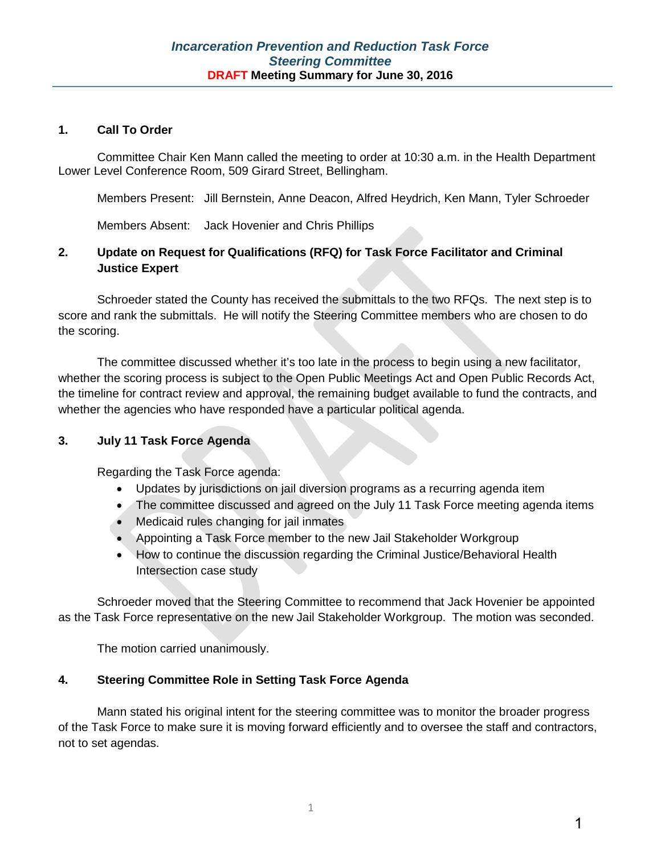#### **1. Call To Order**

Committee Chair Ken Mann called the meeting to order at 10:30 a.m. in the Health Department Lower Level Conference Room, 509 Girard Street, Bellingham.

Members Present: Jill Bernstein, Anne Deacon, Alfred Heydrich, Ken Mann, Tyler Schroeder

Members Absent: Jack Hovenier and Chris Phillips

# **2. Update on Request for Qualifications (RFQ) for Task Force Facilitator and Criminal Justice Expert**

Schroeder stated the County has received the submittals to the two RFQs. The next step is to score and rank the submittals. He will notify the Steering Committee members who are chosen to do the scoring.

The committee discussed whether it's too late in the process to begin using a new facilitator, whether the scoring process is subject to the Open Public Meetings Act and Open Public Records Act, the timeline for contract review and approval, the remaining budget available to fund the contracts, and whether the agencies who have responded have a particular political agenda.

#### **3. July 11 Task Force Agenda**

Regarding the Task Force agenda:

- Updates by jurisdictions on jail diversion programs as a recurring agenda item
- The committee discussed and agreed on the July 11 Task Force meeting agenda items
- Medicaid rules changing for jail inmates
- Appointing a Task Force member to the new Jail Stakeholder Workgroup
- How to continue the discussion regarding the Criminal Justice/Behavioral Health Intersection case study

Schroeder moved that the Steering Committee to recommend that Jack Hovenier be appointed as the Task Force representative on the new Jail Stakeholder Workgroup. The motion was seconded.

The motion carried unanimously.

#### **4. Steering Committee Role in Setting Task Force Agenda**

Mann stated his original intent for the steering committee was to monitor the broader progress of the Task Force to make sure it is moving forward efficiently and to oversee the staff and contractors, not to set agendas.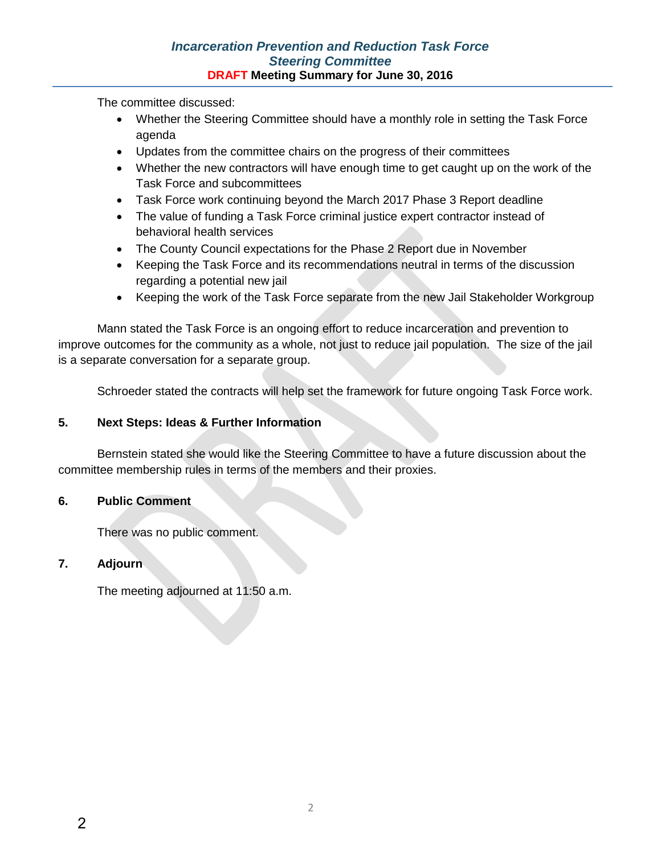The committee discussed:

- Whether the Steering Committee should have a monthly role in setting the Task Force agenda
- Updates from the committee chairs on the progress of their committees
- Whether the new contractors will have enough time to get caught up on the work of the Task Force and subcommittees
- Task Force work continuing beyond the March 2017 Phase 3 Report deadline
- The value of funding a Task Force criminal justice expert contractor instead of behavioral health services
- The County Council expectations for the Phase 2 Report due in November
- Keeping the Task Force and its recommendations neutral in terms of the discussion regarding a potential new jail
- Keeping the work of the Task Force separate from the new Jail Stakeholder Workgroup

Mann stated the Task Force is an ongoing effort to reduce incarceration and prevention to improve outcomes for the community as a whole, not just to reduce jail population. The size of the jail is a separate conversation for a separate group.

Schroeder stated the contracts will help set the framework for future ongoing Task Force work.

# **5. Next Steps: Ideas & Further Information**

Bernstein stated she would like the Steering Committee to have a future discussion about the committee membership rules in terms of the members and their proxies.

# **6. Public Comment**

There was no public comment.

# **7. Adjourn**

The meeting adjourned at 11:50 a.m.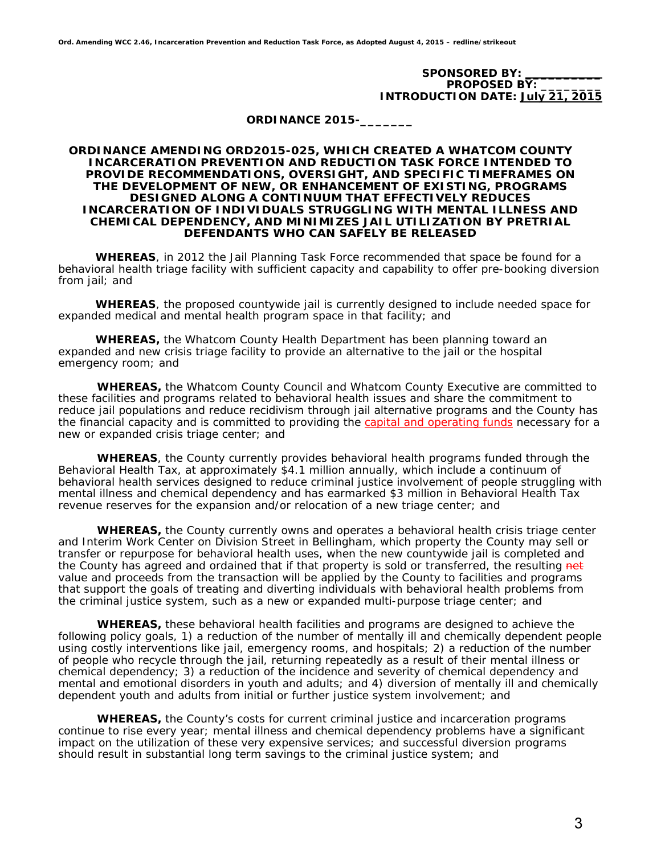SPONSORED BY: **PROPOSED BY: INTRODUCTION DATE: July 21, 2015** 

**ORDINANCE 2015-\_\_\_\_\_\_\_** 

#### **ORDINANCE AMENDING ORD2015-025, WHICH CREATED A WHATCOM COUNTY INCARCERATION PREVENTION AND REDUCTION TASK FORCE INTENDED TO PROVIDE RECOMMENDATIONS, OVERSIGHT, AND SPECIFIC TIMEFRAMES ON THE DEVELOPMENT OF NEW, OR ENHANCEMENT OF EXISTING, PROGRAMS DESIGNED ALONG A CONTINUUM THAT EFFECTIVELY REDUCES INCARCERATION OF INDIVIDUALS STRUGGLING WITH MENTAL ILLNESS AND CHEMICAL DEPENDENCY, AND MINIMIZES JAIL UTILIZATION BY PRETRIAL DEFENDANTS WHO CAN SAFELY BE RELEASED**

 **WHEREAS**, in 2012 the Jail Planning Task Force recommended that space be found for a behavioral health triage facility with sufficient capacity and capability to offer pre-booking diversion from jail; and

 **WHEREAS**, the proposed countywide jail is currently designed to include needed space for expanded medical and mental health program space in that facility; and

 **WHEREAS,** the Whatcom County Health Department has been planning toward an expanded and new crisis triage facility to provide an alternative to the jail or the hospital emergency room; and

**WHEREAS,** the Whatcom County Council and Whatcom County Executive are committed to these facilities and programs related to behavioral health issues and share the commitment to reduce jail populations and reduce recidivism through jail alternative programs and the County has the financial capacity and is committed to providing the capital and operating funds necessary for a new or expanded crisis triage center; and

 **WHEREAS**, the County currently provides behavioral health programs funded through the Behavioral Health Tax, at approximately \$4.1 million annually, which include a continuum of behavioral health services designed to reduce criminal justice involvement of people struggling with mental illness and chemical dependency and has earmarked \$3 million in Behavioral Health Tax revenue reserves for the expansion and/or relocation of a new triage center; and

**WHEREAS,** the County currently owns and operates a behavioral health crisis triage center and Interim Work Center on Division Street in Bellingham, which property the County may sell or transfer or repurpose for behavioral health uses, when the new countywide jail is completed and the County has agreed and ordained that if that property is sold or transferred, the resulting net value and proceeds from the transaction will be applied by the County to facilities and programs that support the goals of treating and diverting individuals with behavioral health problems from the criminal justice system, such as a new or expanded multi-purpose triage center; and

**WHEREAS,** these behavioral health facilities and programs are designed to achieve the following policy goals, 1) a reduction of the number of mentally ill and chemically dependent people using costly interventions like jail, emergency rooms, and hospitals; 2) a reduction of the number of people who recycle through the jail, returning repeatedly as a result of their mental illness or chemical dependency; 3) a reduction of the incidence and severity of chemical dependency and mental and emotional disorders in youth and adults; and 4) diversion of mentally ill and chemically dependent youth and adults from initial or further justice system involvement; and

**WHEREAS,** the County's costs for current criminal justice and incarceration programs continue to rise every year; mental illness and chemical dependency problems have a significant impact on the utilization of these very expensive services; and successful diversion programs should result in substantial long term savings to the criminal justice system; and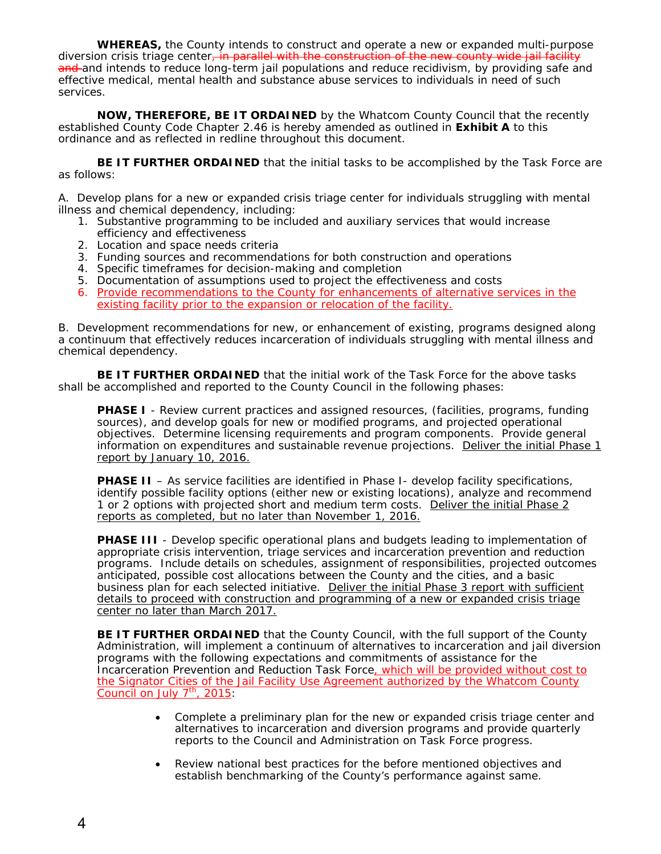**WHEREAS,** the County intends to construct and operate a new or expanded multi-purpose diversion crisis triage center, in parallel with the construction of the new county wide jail facility and and intends to reduce long-term jail populations and reduce recidivism, by providing safe and effective medical, mental health and substance abuse services to individuals in need of such services.

**NOW, THEREFORE, BE IT ORDAINED** by the Whatcom County Council that the recently established County Code Chapter 2.46 is hereby amended as outlined in **Exhibit A** to this ordinance and as reflected in redline throughout this document.

**BE IT FURTHER ORDAINED** that the initial tasks to be accomplished by the Task Force are as follows:

A. Develop plans for a new or expanded crisis triage center for individuals struggling with mental illness and chemical dependency, including:

- 1. Substantive programming to be included and auxiliary services that would increase efficiency and effectiveness
- 2. Location and space needs criteria
- 3. Funding sources and recommendations for both construction and operations
- 4. Specific timeframes for decision-making and completion
- 5. Documentation of assumptions used to project the effectiveness and costs
- 6. Provide recommendations to the County for enhancements of alternative services in the existing facility prior to the expansion or relocation of the facility.

B. Development recommendations for new, or enhancement of existing, programs designed along a continuum that effectively reduces incarceration of individuals struggling with mental illness and chemical dependency.

**BE IT FURTHER ORDAINED** that the initial work of the Task Force for the above tasks shall be accomplished and reported to the County Council in the following phases:

**PHASE I** - Review current practices and assigned resources, (facilities, programs, funding sources), and develop goals for new or modified programs, and projected operational objectives. Determine licensing requirements and program components. Provide general information on expenditures and sustainable revenue projections. Deliver the initial Phase 1 report by January 10, 2016.

**PHASE II** – As service facilities are identified in Phase I- develop facility specifications, identify possible facility options (either new or existing locations), analyze and recommend 1 or 2 options with projected short and medium term costs. Deliver the initial Phase 2 reports as completed, but no later than November 1, 2016.

**PHASE III** - Develop specific operational plans and budgets leading to implementation of appropriate crisis intervention, triage services and incarceration prevention and reduction programs. Include details on schedules, assignment of responsibilities, projected outcomes anticipated, possible cost allocations between the County and the cities, and a basic business plan for each selected initiative. Deliver the initial Phase 3 report with sufficient details to proceed with construction and programming of a new or expanded crisis triage center no later than March 2017.

**BE IT FURTHER ORDAINED** that the County Council, with the full support of the County Administration, will implement a continuum of alternatives to incarceration and jail diversion programs with the following expectations and commitments of assistance for the Incarceration Prevention and Reduction Task Force, which will be provided without cost to the Signator Cities of the Jail Facility Use Agreement authorized by the Whatcom County Council on July  $7<sup>th</sup>$ , 2015:

- Complete a preliminary plan for the new or expanded crisis triage center and alternatives to incarceration and diversion programs and provide quarterly reports to the Council and Administration on Task Force progress.
- Review national best practices for the before mentioned objectives and establish benchmarking of the County's performance against same.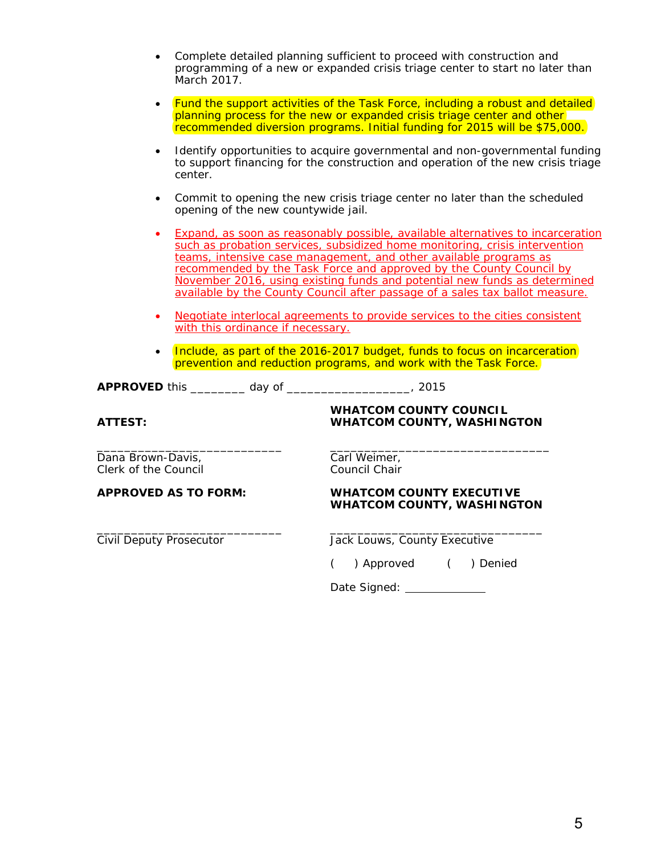| • Complete detailed planning sufficient to proceed with construction and     |
|------------------------------------------------------------------------------|
| programming of a new or expanded crisis triage center to start no later than |
| March 2017.                                                                  |

| <b>Fund the support activities of the Task Force, including a robust and detailed</b> |
|---------------------------------------------------------------------------------------|
| planning process for the new or expanded crisis triage center and other               |
| recommended diversion programs. Initial funding for 2015 will be \$75,000.            |

- Identify opportunities to acquire governmental and non-governmental funding to support financing for the construction and operation of the new crisis triage center.
- Commit to opening the new crisis triage center no later than the scheduled opening of the new countywide jail.
- Expand, as soon as reasonably possible, available alternatives to incarceration such as probation services, subsidized home monitoring, crisis intervention teams, intensive case management, and other available programs as recommended by the Task Force and approved by the County Council by November 2016, using existing funds and potential new funds as determined available by the County Council after passage of a sales tax ballot measure.
- Negotiate interlocal agreements to provide services to the cities consistent with this ordinance if necessary.
- Include, as part of the 2016-2017 budget, funds to focus on incarceration prevention and reduction programs, and work with the Task Force.

|  | <b>APPROVED this</b> |  |  |  |
|--|----------------------|--|--|--|
|--|----------------------|--|--|--|

 $\frac{1}{2}$  ,  $\frac{1}{2}$  ,  $\frac{1}{2}$  ,  $\frac{1}{2}$  ,  $\frac{1}{2}$  ,  $\frac{1}{2}$  ,  $\frac{1}{2}$  ,  $\frac{1}{2}$  ,  $\frac{1}{2}$  ,  $\frac{1}{2}$  ,  $\frac{1}{2}$  ,  $\frac{1}{2}$  ,  $\frac{1}{2}$  ,  $\frac{1}{2}$  ,  $\frac{1}{2}$  ,  $\frac{1}{2}$  ,  $\frac{1}{2}$  ,  $\frac{1}{2}$  ,  $\frac{1$ 

**WHATCOM COUNTY COUNCIL ATTEST: WHATCOM COUNTY, WASHINGTON** 

\_\_\_\_\_\_\_\_\_\_\_\_\_\_\_\_\_\_\_\_\_\_\_\_\_\_\_ \_\_\_\_\_\_\_\_\_\_\_\_\_\_\_\_\_\_\_\_\_\_\_\_\_\_\_\_\_\_\_\_ Dana Brown-Davis, The Carl Weimer, Carl Weimer, Clerk of the Council Clerk of the Council

**APPROVED AS TO FORM: WHATCOM COUNTY EXECUTIVE WHATCOM COUNTY, WASHINGTON** 

Civil Deputy Prosecutor **County Executive** Jack Louws, County Executive

( ) Approved ( ) Denied

Date Signed: \_\_\_\_\_